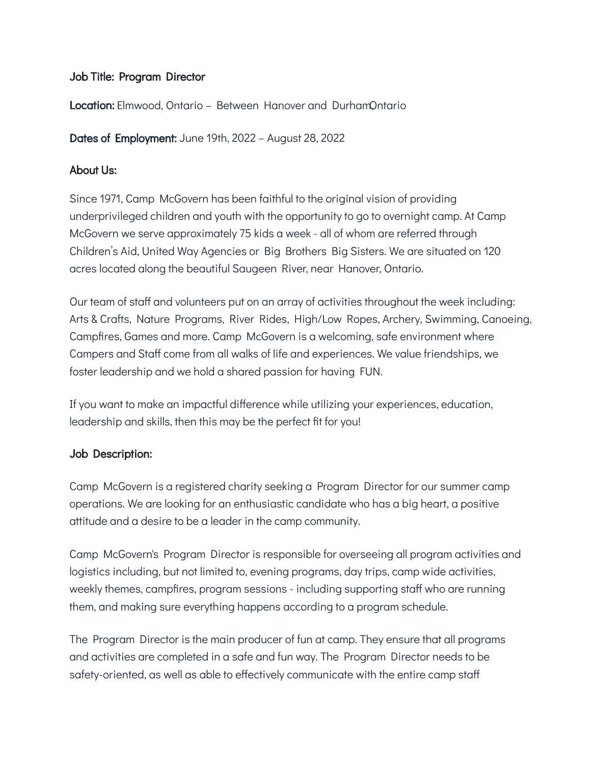#### Job Title: Program Director

**Location:** Elmwood, Ontario – Between Hanover and DurhamOntario

Dates of Employment: June 19th, 2022 - August 28, 2022

#### About Us:

Since 1971, Camp McGovern has been faithful to the original vision of providing underprivileged children and youth with the opportunity to go to overnight camp. At Camp McGovern we serve approximately 75 kids a week - all of whom are referred through Children's Aid, United Way Agencies or Big Brothers Big Sisters. We are situated on 120 acres located along the beautiful Saugeen River, near Hanover, Ontario.

Our team of staff and volunteers put on an array of activities throughout the week including: Arts & Crafts, Nature Programs, River Rides, High/Low Ropes, Archery, Swimming, Canoeing, Campfires, Games and more. Camp McGovern is a welcoming, safe environment where Campers and Staff come from all walks of life and experiences. We value friendships, we foster leadership and we hold a shared passion for having FUN.

If you want to make an impactful difference while utilizing your experiences, education, leadership and skills, then this may be the perfect fit for you!

## Job Description:

Camp McGovern is a registered charity seeking a Program Director for our summer camp operations. We are looking for an enthusiastic candidate who has a big heart, a positive attitude and a desire to be a leader in the camp community.

Camp McGovern's Program Director is responsible for overseeing all program activities and logistics including, but not limited to, evening programs, day trips, camp wide activities, weekly themes, campfires, program sessions - including supporting staff who are running them, and making sure everything happens according to a program schedule.

The Program Director is the main producer of fun at camp. They ensure that all programs and activities are completed in a safe and fun way. The Program Director needs to be safety-oriented, as well as able to effectively communicate with the entire camp staff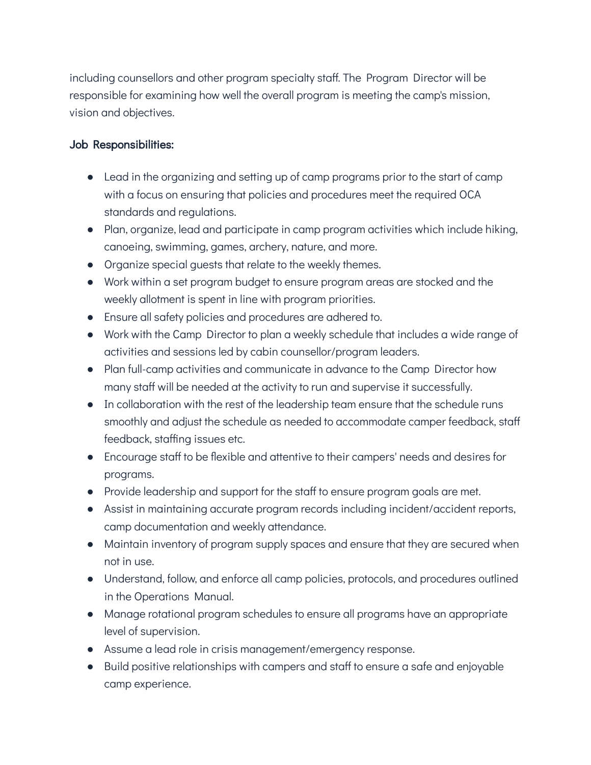including counsellors and other program specialty staff. The Program Director will be responsible for examining how well the overall program is meeting the camp's mission, vision and objectives.

### Job Responsibilities:

- Lead in the organizing and setting up of camp programs prior to the start of camp with a focus on ensuring that policies and procedures meet the required OCA standards and regulations.
- Plan, organize, lead and participate in camp program activities which include hiking, canoeing, swimming, games, archery, nature, and more.
- Organize special guests that relate to the weekly themes.
- Work within a set program budget to ensure program areas are stocked and the weekly allotment is spent in line with program priorities.
- Ensure all safety policies and procedures are adhered to.
- Work with the Camp Director to plan a weekly schedule that includes a wide range of activities and sessions led by cabin counsellor/program leaders.
- Plan full-camp activities and communicate in advance to the Camp Director how many staff will be needed at the activity to run and supervise it successfully.
- In collaboration with the rest of the leadership team ensure that the schedule runs smoothly and adjust the schedule as needed to accommodate camper feedback, staff feedback, staffing issues etc.
- Encourage staff to be flexible and attentive to their campers' needs and desires for programs.
- Provide leadership and support for the staff to ensure program goals are met.
- Assist in maintaining accurate program records including incident/accident reports, camp documentation and weekly attendance.
- Maintain inventory of program supply spaces and ensure that they are secured when not in use.
- Understand, follow, and enforce all camp policies, protocols, and procedures outlined in the Operations Manual.
- Manage rotational program schedules to ensure all programs have an appropriate level of supervision.
- Assume a lead role in crisis management/emergency response.
- Build positive relationships with campers and staff to ensure a safe and enjoyable camp experience.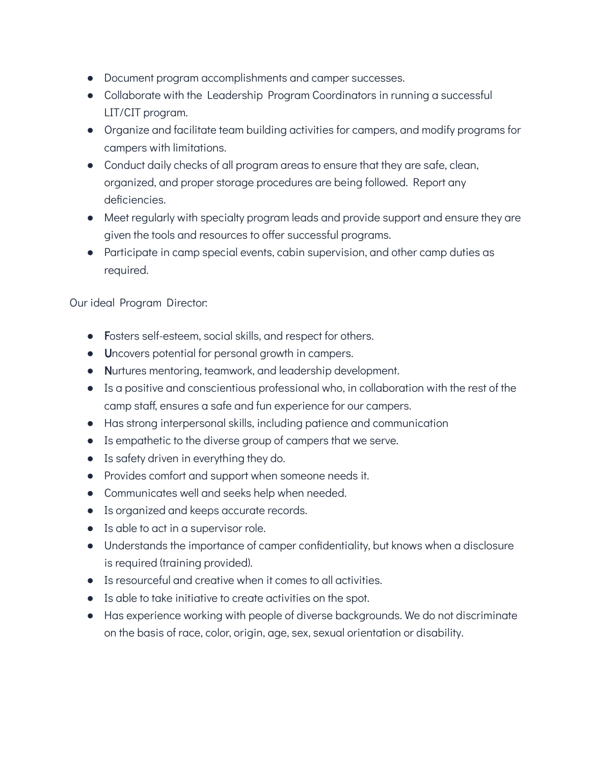- Document program accomplishments and camper successes.
- Collaborate with the Leadership Program Coordinators in running a successful LIT/CIT program.
- Organize and facilitate team building activities for campers, and modify programs for campers with limitations.
- Conduct daily checks of all program areas to ensure that they are safe, clean, organized, and proper storage procedures are being followed. Report any deficiencies.
- Meet regularly with specialty program leads and provide support and ensure they are given the tools and resources to offer successful programs.
- Participate in camp special events, cabin supervision, and other camp duties as required.

Our ideal Program Director:

- Fosters self-esteem, social skills, and respect for others.
- Uncovers potential for personal growth in campers.
- Nurtures mentoring, teamwork, and leadership development.
- Is a positive and conscientious professional who, in collaboration with the rest of the camp staff, ensures a safe and fun experience for our campers.
- Has strong interpersonal skills, including patience and communication
- Is empathetic to the diverse group of campers that we serve.
- Is safety driven in everything they do.
- Provides comfort and support when someone needs it.
- Communicates well and seeks help when needed.
- Is organized and keeps accurate records.
- Is able to act in a supervisor role.
- Understands the importance of camper confidentiality, but knows when a disclosure is required (training provided).
- Is resourceful and creative when it comes to all activities.
- Is able to take initiative to create activities on the spot.
- Has experience working with people of diverse backgrounds. We do not discriminate on the basis of race, color, origin, age, sex, sexual orientation or disability.